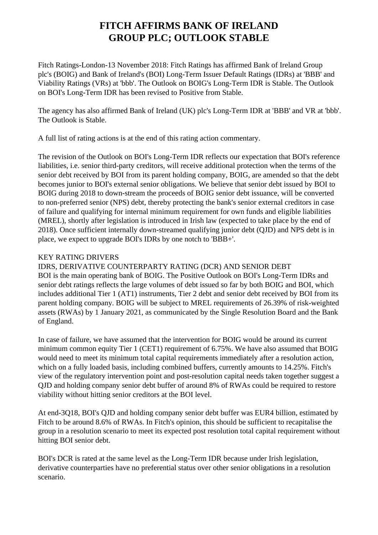# **FITCH AFFIRMS BANK OF IRELAND GROUP PLC; OUTLOOK STABLE**

 Fitch Ratings-London-13 November 2018: Fitch Ratings has affirmed Bank of Ireland Group plc's (BOIG) and Bank of Ireland's (BOI) Long-Term Issuer Default Ratings (IDRs) at 'BBB' and Viability Ratings (VRs) at 'bbb'. The Outlook on BOIG's Long-Term IDR is Stable. The Outlook on BOI's Long-Term IDR has been revised to Positive from Stable.

 The agency has also affirmed Bank of Ireland (UK) plc's Long-Term IDR at 'BBB' and VR at 'bbb'. The Outlook is Stable.

A full list of rating actions is at the end of this rating action commentary.

 The revision of the Outlook on BOI's Long-Term IDR reflects our expectation that BOI's reference liabilities, i.e. senior third-party creditors, will receive additional protection when the terms of the senior debt received by BOI from its parent holding company, BOIG, are amended so that the debt becomes junior to BOI's external senior obligations. We believe that senior debt issued by BOI to BOIG during 2018 to down-stream the proceeds of BOIG senior debt issuance, will be converted to non-preferred senior (NPS) debt, thereby protecting the bank's senior external creditors in case of failure and qualifying for internal minimum requirement for own funds and eligible liabilities (MREL), shortly after legislation is introduced in Irish law (expected to take place by the end of 2018). Once sufficient internally down-streamed qualifying junior debt (QJD) and NPS debt is in place, we expect to upgrade BOI's IDRs by one notch to 'BBB+'.

## KEY RATING DRIVERS

IDRS, DERIVATIVE COUNTERPARTY RATING (DCR) AND SENIOR DEBT

 BOI is the main operating bank of BOIG. The Positive Outlook on BOI's Long-Term IDRs and senior debt ratings reflects the large volumes of debt issued so far by both BOIG and BOI, which includes additional Tier 1 (AT1) instruments, Tier 2 debt and senior debt received by BOI from its parent holding company. BOIG will be subject to MREL requirements of 26.39% of risk-weighted assets (RWAs) by 1 January 2021, as communicated by the Single Resolution Board and the Bank of England.

 In case of failure, we have assumed that the intervention for BOIG would be around its current minimum common equity Tier 1 (CET1) requirement of 6.75%. We have also assumed that BOIG would need to meet its minimum total capital requirements immediately after a resolution action, which on a fully loaded basis, including combined buffers, currently amounts to 14.25%. Fitch's view of the regulatory intervention point and post-resolution capital needs taken together suggest a QJD and holding company senior debt buffer of around 8% of RWAs could be required to restore viability without hitting senior creditors at the BOI level.

 At end-3Q18, BOI's QJD and holding company senior debt buffer was EUR4 billion, estimated by Fitch to be around 8.6% of RWAs. In Fitch's opinion, this should be sufficient to recapitalise the group in a resolution scenario to meet its expected post resolution total capital requirement without hitting BOI senior debt.

 BOI's DCR is rated at the same level as the Long-Term IDR because under Irish legislation, derivative counterparties have no preferential status over other senior obligations in a resolution scenario.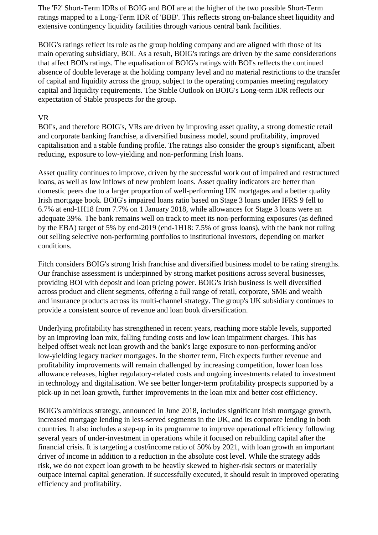The 'F2' Short-Term IDRs of BOIG and BOI are at the higher of the two possible Short-Term ratings mapped to a Long-Term IDR of 'BBB'. This reflects strong on-balance sheet liquidity and extensive contingency liquidity facilities through various central bank facilities.

 BOIG's ratings reflect its role as the group holding company and are aligned with those of its main operating subsidiary, BOI. As a result, BOIG's ratings are driven by the same considerations that affect BOI's ratings. The equalisation of BOIG's ratings with BOI's reflects the continued absence of double leverage at the holding company level and no material restrictions to the transfer of capital and liquidity across the group, subject to the operating companies meeting regulatory capital and liquidity requirements. The Stable Outlook on BOIG's Long-term IDR reflects our expectation of Stable prospects for the group.

#### VR

 BOI's, and therefore BOIG's, VRs are driven by improving asset quality, a strong domestic retail and corporate banking franchise, a diversified business model, sound profitability, improved capitalisation and a stable funding profile. The ratings also consider the group's significant, albeit reducing, exposure to low-yielding and non-performing Irish loans.

 Asset quality continues to improve, driven by the successful work out of impaired and restructured loans, as well as low inflows of new problem loans. Asset quality indicators are better than domestic peers due to a larger proportion of well-performing UK mortgages and a better quality Irish mortgage book. BOIG's impaired loans ratio based on Stage 3 loans under IFRS 9 fell to 6.7% at end-1H18 from 7.7% on 1 January 2018, while allowances for Stage 3 loans were an adequate 39%. The bank remains well on track to meet its non-performing exposures (as defined by the EBA) target of 5% by end-2019 (end-1H18: 7.5% of gross loans), with the bank not ruling out selling selective non-performing portfolios to institutional investors, depending on market conditions.

 Fitch considers BOIG's strong Irish franchise and diversified business model to be rating strengths. Our franchise assessment is underpinned by strong market positions across several businesses, providing BOI with deposit and loan pricing power. BOIG's Irish business is well diversified across product and client segments, offering a full range of retail, corporate, SME and wealth and insurance products across its multi-channel strategy. The group's UK subsidiary continues to provide a consistent source of revenue and loan book diversification.

 Underlying profitability has strengthened in recent years, reaching more stable levels, supported by an improving loan mix, falling funding costs and low loan impairment charges. This has helped offset weak net loan growth and the bank's large exposure to non-performing and/or low-yielding legacy tracker mortgages. In the shorter term, Fitch expects further revenue and profitability improvements will remain challenged by increasing competition, lower loan loss allowance releases, higher regulatory-related costs and ongoing investments related to investment in technology and digitalisation. We see better longer-term profitability prospects supported by a pick-up in net loan growth, further improvements in the loan mix and better cost efficiency.

 BOIG's ambitious strategy, announced in June 2018, includes significant Irish mortgage growth, increased mortgage lending in less-served segments in the UK, and its corporate lending in both countries. It also includes a step-up in its programme to improve operational efficiency following several years of under-investment in operations while it focused on rebuilding capital after the financial crisis. It is targeting a cost/income ratio of 50% by 2021, with loan growth an important driver of income in addition to a reduction in the absolute cost level. While the strategy adds risk, we do not expect loan growth to be heavily skewed to higher-risk sectors or materially outpace internal capital generation. If successfully executed, it should result in improved operating efficiency and profitability.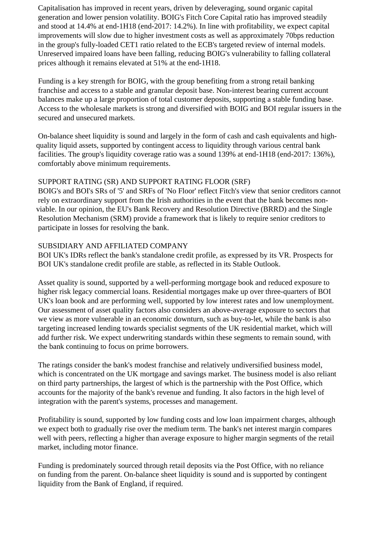Capitalisation has improved in recent years, driven by deleveraging, sound organic capital generation and lower pension volatility. BOIG's Fitch Core Capital ratio has improved steadily and stood at 14.4% at end-1H18 (end-2017: 14.2%). In line with profitability, we expect capital improvements will slow due to higher investment costs as well as approximately 70bps reduction in the group's fully-loaded CET1 ratio related to the ECB's targeted review of internal models. Unreserved impaired loans have been falling, reducing BOIG's vulnerability to falling collateral prices although it remains elevated at 51% at the end-1H18.

 Funding is a key strength for BOIG, with the group benefiting from a strong retail banking franchise and access to a stable and granular deposit base. Non-interest bearing current account balances make up a large proportion of total customer deposits, supporting a stable funding base. Access to the wholesale markets is strong and diversified with BOIG and BOI regular issuers in the secured and unsecured markets.

 On-balance sheet liquidity is sound and largely in the form of cash and cash equivalents and highquality liquid assets, supported by contingent access to liquidity through various central bank facilities. The group's liquidity coverage ratio was a sound 139% at end-1H18 (end-2017: 136%), comfortably above minimum requirements.

## SUPPORT RATING (SR) AND SUPPORT RATING FLOOR (SRF)

 BOIG's and BOI's SRs of '5' and SRFs of 'No Floor' reflect Fitch's view that senior creditors cannot rely on extraordinary support from the Irish authorities in the event that the bank becomes nonviable. In our opinion, the EU's Bank Recovery and Resolution Directive (BRRD) and the Single Resolution Mechanism (SRM) provide a framework that is likely to require senior creditors to participate in losses for resolving the bank.

### SUBSIDIARY AND AFFILIATED COMPANY

 BOI UK's IDRs reflect the bank's standalone credit profile, as expressed by its VR. Prospects for BOI UK's standalone credit profile are stable, as reflected in its Stable Outlook.

 Asset quality is sound, supported by a well-performing mortgage book and reduced exposure to higher risk legacy commercial loans. Residential mortgages make up over three-quarters of BOI UK's loan book and are performing well, supported by low interest rates and low unemployment. Our assessment of asset quality factors also considers an above-average exposure to sectors that we view as more vulnerable in an economic downturn, such as buy-to-let, while the bank is also targeting increased lending towards specialist segments of the UK residential market, which will add further risk. We expect underwriting standards within these segments to remain sound, with the bank continuing to focus on prime borrowers.

 The ratings consider the bank's modest franchise and relatively undiversified business model, which is concentrated on the UK mortgage and savings market. The business model is also reliant on third party partnerships, the largest of which is the partnership with the Post Office, which accounts for the majority of the bank's revenue and funding. It also factors in the high level of integration with the parent's systems, processes and management.

 Profitability is sound, supported by low funding costs and low loan impairment charges, although we expect both to gradually rise over the medium term. The bank's net interest margin compares well with peers, reflecting a higher than average exposure to higher margin segments of the retail market, including motor finance.

 Funding is predominately sourced through retail deposits via the Post Office, with no reliance on funding from the parent. On-balance sheet liquidity is sound and is supported by contingent liquidity from the Bank of England, if required.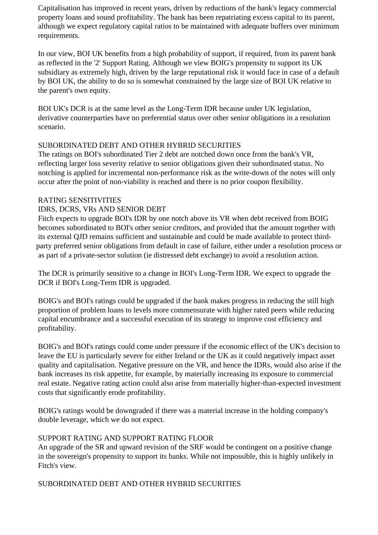Capitalisation has improved in recent years, driven by reductions of the bank's legacy commercial property loans and sound profitability. The bank has been repatriating excess capital to its parent, although we expect regulatory capital ratios to be maintained with adequate buffers over minimum requirements.

 In our view, BOI UK benefits from a high probability of support, if required, from its parent bank as reflected in the '2' Support Rating. Although we view BOIG's propensity to support its UK subsidiary as extremely high, driven by the large reputational risk it would face in case of a default by BOI UK, the ability to do so is somewhat constrained by the large size of BOI UK relative to the parent's own equity.

 BOI UK's DCR is at the same level as the Long-Term IDR because under UK legislation, derivative counterparties have no preferential status over other senior obligations in a resolution scenario.

### SUBORDINATED DEBT AND OTHER HYBRID SECURITIES

 The ratings on BOI's subordinated Tier 2 debt are notched down once from the bank's VR, reflecting larger loss severity relative to senior obligations given their subordinated status. No notching is applied for incremental non-performance risk as the write-down of the notes will only occur after the point of non-viability is reached and there is no prior coupon flexibility.

### RATING SENSITIVITIES

### IDRS, DCRS, VRs AND SENIOR DEBT

 Fitch expects to upgrade BOI's IDR by one notch above its VR when debt received from BOIG becomes subordinated to BOI's other senior creditors, and provided that the amount together with its external QJD remains sufficient and sustainable and could be made available to protect thirdparty preferred senior obligations from default in case of failure, either under a resolution process or as part of a private-sector solution (ie distressed debt exchange) to avoid a resolution action.

 The DCR is primarily sensitive to a change in BOI's Long-Term IDR. We expect to upgrade the DCR if BOI's Long-Term IDR is upgraded.

 BOIG's and BOI's ratings could be upgraded if the bank makes progress in reducing the still high proportion of problem loans to levels more commensurate with higher rated peers while reducing capital encumbrance and a successful execution of its strategy to improve cost efficiency and profitability.

 BOIG's and BOI's ratings could come under pressure if the economic effect of the UK's decision to leave the EU is particularly severe for either Ireland or the UK as it could negatively impact asset quality and capitalisation. Negative pressure on the VR, and hence the IDRs, would also arise if the bank increases its risk appetite, for example, by materially increasing its exposure to commercial real estate. Negative rating action could also arise from materially higher-than-expected investment costs that significantly erode profitability.

 BOIG's ratings would be downgraded if there was a material increase in the holding company's double leverage, which we do not expect.

### SUPPORT RATING AND SUPPORT RATING FLOOR

 An upgrade of the SR and upward revision of the SRF would be contingent on a positive change in the sovereign's propensity to support its banks. While not impossible, this is highly unlikely in Fitch's view.

### SUBORDINATED DEBT AND OTHER HYBRID SECURITIES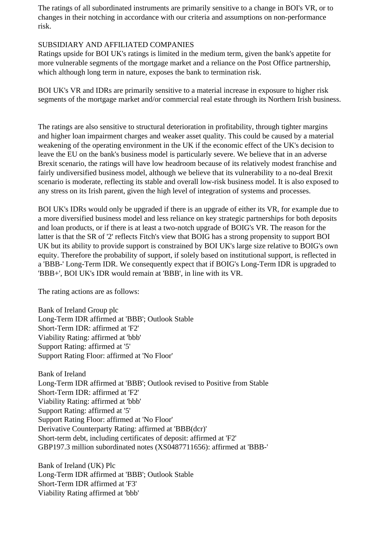The ratings of all subordinated instruments are primarily sensitive to a change in BOI's VR, or to changes in their notching in accordance with our criteria and assumptions on non-performance risk.

## SUBSIDIARY AND AFFILIATED COMPANIES

 Ratings upside for BOI UK's ratings is limited in the medium term, given the bank's appetite for more vulnerable segments of the mortgage market and a reliance on the Post Office partnership, which although long term in nature, exposes the bank to termination risk.

 BOI UK's VR and IDRs are primarily sensitive to a material increase in exposure to higher risk segments of the mortgage market and/or commercial real estate through its Northern Irish business.

 The ratings are also sensitive to structural deterioration in profitability, through tighter margins and higher loan impairment charges and weaker asset quality. This could be caused by a material weakening of the operating environment in the UK if the economic effect of the UK's decision to leave the EU on the bank's business model is particularly severe. We believe that in an adverse Brexit scenario, the ratings will have low headroom because of its relatively modest franchise and fairly undiversified business model, although we believe that its vulnerability to a no-deal Brexit scenario is moderate, reflecting its stable and overall low-risk business model. It is also exposed to any stress on its Irish parent, given the high level of integration of systems and processes.

 BOI UK's IDRs would only be upgraded if there is an upgrade of either its VR, for example due to a more diversified business model and less reliance on key strategic partnerships for both deposits and loan products, or if there is at least a two-notch upgrade of BOIG's VR. The reason for the latter is that the SR of '2' reflects Fitch's view that BOIG has a strong propensity to support BOI UK but its ability to provide support is constrained by BOI UK's large size relative to BOIG's own equity. Therefore the probability of support, if solely based on institutional support, is reflected in a 'BBB-' Long-Term IDR. We consequently expect that if BOIG's Long-Term IDR is upgraded to 'BBB+', BOI UK's IDR would remain at 'BBB', in line with its VR.

The rating actions are as follows:

 Bank of Ireland Group plc Long-Term IDR affirmed at 'BBB'; Outlook Stable Short-Term IDR: affirmed at 'F2' Viability Rating: affirmed at 'bbb' Support Rating: affirmed at '5' Support Rating Floor: affirmed at 'No Floor'

 Bank of Ireland Long-Term IDR affirmed at 'BBB'; Outlook revised to Positive from Stable Short-Term IDR: affirmed at 'F2' Viability Rating: affirmed at 'bbb' Support Rating: affirmed at '5' Support Rating Floor: affirmed at 'No Floor' Derivative Counterparty Rating: affirmed at 'BBB(dcr)' Short-term debt, including certificates of deposit: affirmed at 'F2' GBP197.3 million subordinated notes (XS0487711656): affirmed at 'BBB-'

 Bank of Ireland (UK) Plc Long-Term IDR affirmed at 'BBB'; Outlook Stable Short-Term IDR affirmed at 'F3' Viability Rating affirmed at 'bbb'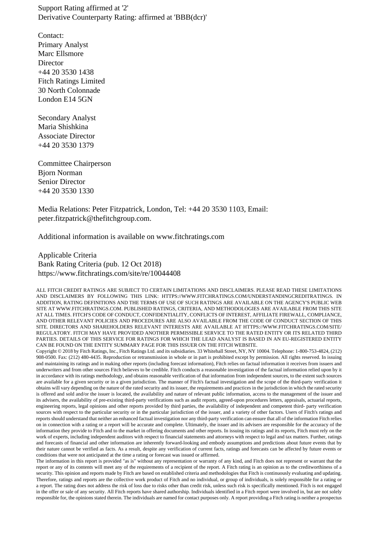Support Rating affirmed at '2' Derivative Counterparty Rating: affirmed at 'BBB(dcr)'

 Contact: Primary Analyst Marc Ellsmore Director +44 20 3530 1438 Fitch Ratings Limited 30 North Colonnade London E14 5GN

 Secondary Analyst Maria Shishkina Associate Director +44 20 3530 1379

 Committee Chairperson Bjorn Norman Senior Director +44 20 3530 1330

 Media Relations: Peter Fitzpatrick, London, Tel: +44 20 3530 1103, Email: peter.fitzpatrick@thefitchgroup.com.

Additional information is available on www.fitchratings.com

 Applicable Criteria Bank Rating Criteria (pub. 12 Oct 2018) https://www.fitchratings.com/site/re/10044408

ALL FITCH CREDIT RATINGS ARE SUBJECT TO CERTAIN LIMITATIONS AND DISCLAIMERS. PLEASE READ THESE LIMITATIONS AND DISCLAIMERS BY FOLLOWING THIS LINK: HTTPS://WWW.FITCHRATINGS.COM/UNDERSTANDINGCREDITRATINGS. IN ADDITION, RATING DEFINITIONS AND THE TERMS OF USE OF SUCH RATINGS ARE AVAILABLE ON THE AGENCY'S PUBLIC WEB SITE AT WWW.FITCHRATINGS.COM. PUBLISHED RATINGS, CRITERIA, AND METHODOLOGIES ARE AVAILABLE FROM THIS SITE AT ALL TIMES. FITCH'S CODE OF CONDUCT, CONFIDENTIALITY, CONFLICTS OF INTEREST, AFFILIATE FIREWALL, COMPLIANCE, AND OTHER RELEVANT POLICIES AND PROCEDURES ARE ALSO AVAILABLE FROM THE CODE OF CONDUCT SECTION OF THIS SITE. DIRECTORS AND SHAREHOLDERS RELEVANT INTERESTS ARE AVAILABLE AT HTTPS://WWW.FITCHRATINGS.COM/SITE/ REGULATORY. FITCH MAY HAVE PROVIDED ANOTHER PERMISSIBLE SERVICE TO THE RATED ENTITY OR ITS RELATED THIRD PARTIES. DETAILS OF THIS SERVICE FOR RATINGS FOR WHICH THE LEAD ANALYST IS BASED IN AN EU-REGISTERED ENTITY CAN BE FOUND ON THE ENTITY SUMMARY PAGE FOR THIS ISSUER ON THE FITCH WEBSITE.

Copyright © 2018 by Fitch Ratings, Inc., Fitch Ratings Ltd. and its subsidiaries. 33 Whitehall Street, NY, NY 10004. Telephone: 1-800-753-4824, (212) 908-0500. Fax: (212) 480-4435. Reproduction or retransmission in whole or in part is prohibited except by permission. All rights reserved. In issuing and maintaining its ratings and in making other reports (including forecast information), Fitch relies on factual information it receives from issuers and underwriters and from other sources Fitch believes to be credible. Fitch conducts a reasonable investigation of the factual information relied upon by it in accordance with its ratings methodology, and obtains reasonable verification of that information from independent sources, to the extent such sources are available for a given security or in a given jurisdiction. The manner of Fitch's factual investigation and the scope of the third-party verification it obtains will vary depending on the nature of the rated security and its issuer, the requirements and practices in the jurisdiction in which the rated security is offered and sold and/or the issuer is located, the availability and nature of relevant public information, access to the management of the issuer and its advisers, the availability of pre-existing third-party verifications such as audit reports, agreed-upon procedures letters, appraisals, actuarial reports, engineering reports, legal opinions and other reports provided by third parties, the availability of independent and competent third- party verification sources with respect to the particular security or in the particular jurisdiction of the issuer, and a variety of other factors. Users of Fitch's ratings and reports should understand that neither an enhanced factual investigation nor any third-party verification can ensure that all of the information Fitch relies on in connection with a rating or a report will be accurate and complete. Ultimately, the issuer and its advisers are responsible for the accuracy of the information they provide to Fitch and to the market in offering documents and other reports. In issuing its ratings and its reports, Fitch must rely on the work of experts, including independent auditors with respect to financial statements and attorneys with respect to legal and tax matters. Further, ratings and forecasts of financial and other information are inherently forward-looking and embody assumptions and predictions about future events that by their nature cannot be verified as facts. As a result, despite any verification of current facts, ratings and forecasts can be affected by future events or conditions that were not anticipated at the time a rating or forecast was issued or affirmed.

The information in this report is provided "as is" without any representation or warranty of any kind, and Fitch does not represent or warrant that the report or any of its contents will meet any of the requirements of a recipient of the report. A Fitch rating is an opinion as to the creditworthiness of a security. This opinion and reports made by Fitch are based on established criteria and methodologies that Fitch is continuously evaluating and updating. Therefore, ratings and reports are the collective work product of Fitch and no individual, or group of individuals, is solely responsible for a rating or a report. The rating does not address the risk of loss due to risks other than credit risk, unless such risk is specifically mentioned. Fitch is not engaged in the offer or sale of any security. All Fitch reports have shared authorship. Individuals identified in a Fitch report were involved in, but are not solely responsible for, the opinions stated therein. The individuals are named for contact purposes only. A report providing a Fitch rating is neither a prospectus